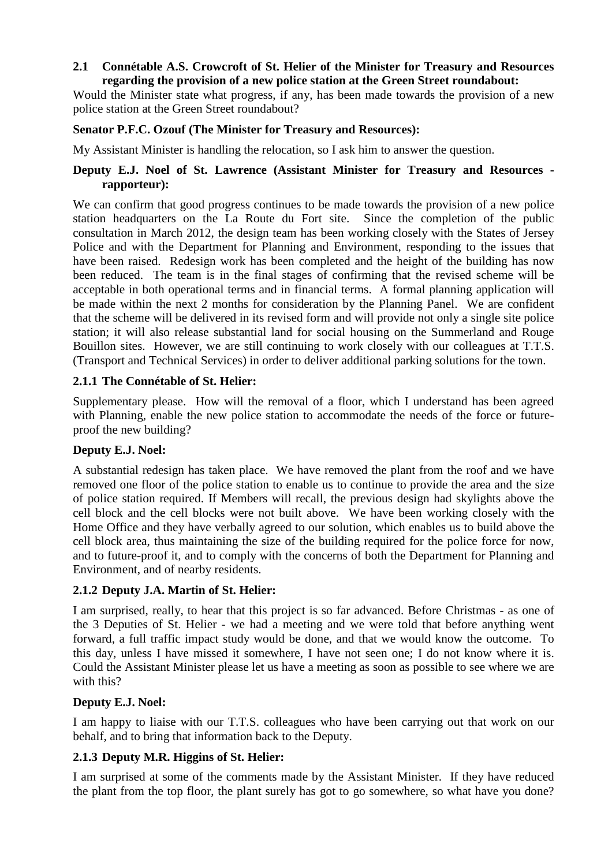#### **2.1 Connétable A.S. Crowcroft of St. Helier of the Minister for Treasury and Resources regarding the provision of a new police station at the Green Street roundabout:**

Would the Minister state what progress, if any, has been made towards the provision of a new police station at the Green Street roundabout?

#### **Senator P.F.C. Ozouf (The Minister for Treasury and Resources):**

My Assistant Minister is handling the relocation, so I ask him to answer the question.

### **Deputy E.J. Noel of St. Lawrence (Assistant Minister for Treasury and Resources rapporteur):**

We can confirm that good progress continues to be made towards the provision of a new police station headquarters on the La Route du Fort site. Since the completion of the public consultation in March 2012, the design team has been working closely with the States of Jersey Police and with the Department for Planning and Environment, responding to the issues that have been raised. Redesign work has been completed and the height of the building has now been reduced. The team is in the final stages of confirming that the revised scheme will be acceptable in both operational terms and in financial terms. A formal planning application will be made within the next 2 months for consideration by the Planning Panel. We are confident that the scheme will be delivered in its revised form and will provide not only a single site police station; it will also release substantial land for social housing on the Summerland and Rouge Bouillon sites. However, we are still continuing to work closely with our colleagues at T.T.S. (Transport and Technical Services) in order to deliver additional parking solutions for the town.

### **2.1.1 The Connétable of St. Helier:**

Supplementary please. How will the removal of a floor, which I understand has been agreed with Planning, enable the new police station to accommodate the needs of the force or futureproof the new building?

### **Deputy E.J. Noel:**

A substantial redesign has taken place. We have removed the plant from the roof and we have removed one floor of the police station to enable us to continue to provide the area and the size of police station required. If Members will recall, the previous design had skylights above the cell block and the cell blocks were not built above. We have been working closely with the Home Office and they have verbally agreed to our solution, which enables us to build above the cell block area, thus maintaining the size of the building required for the police force for now, and to future-proof it, and to comply with the concerns of both the Department for Planning and Environment, and of nearby residents.

### **2.1.2 Deputy J.A. Martin of St. Helier:**

I am surprised, really, to hear that this project is so far advanced. Before Christmas - as one of the 3 Deputies of St. Helier - we had a meeting and we were told that before anything went forward, a full traffic impact study would be done, and that we would know the outcome. To this day, unless I have missed it somewhere, I have not seen one; I do not know where it is. Could the Assistant Minister please let us have a meeting as soon as possible to see where we are with this?

### **Deputy E.J. Noel:**

I am happy to liaise with our T.T.S. colleagues who have been carrying out that work on our behalf, and to bring that information back to the Deputy.

### **2.1.3 Deputy M.R. Higgins of St. Helier:**

I am surprised at some of the comments made by the Assistant Minister. If they have reduced the plant from the top floor, the plant surely has got to go somewhere, so what have you done?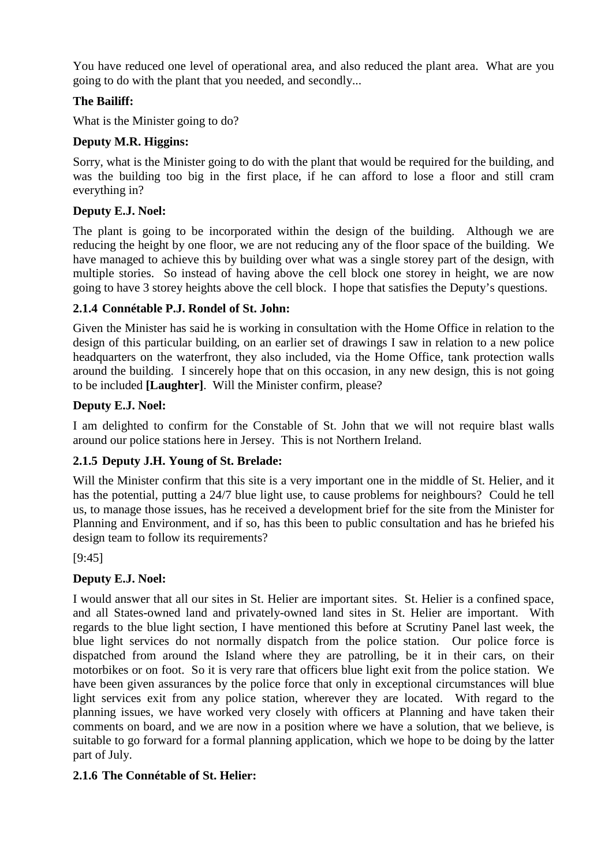You have reduced one level of operational area, and also reduced the plant area. What are you going to do with the plant that you needed, and secondly...

# **The Bailiff:**

What is the Minister going to do?

### **Deputy M.R. Higgins:**

Sorry, what is the Minister going to do with the plant that would be required for the building, and was the building too big in the first place, if he can afford to lose a floor and still cram everything in?

## **Deputy E.J. Noel:**

The plant is going to be incorporated within the design of the building. Although we are reducing the height by one floor, we are not reducing any of the floor space of the building. We have managed to achieve this by building over what was a single storey part of the design, with multiple stories. So instead of having above the cell block one storey in height, we are now going to have 3 storey heights above the cell block. I hope that satisfies the Deputy's questions.

## **2.1.4 Connétable P.J. Rondel of St. John:**

Given the Minister has said he is working in consultation with the Home Office in relation to the design of this particular building, on an earlier set of drawings I saw in relation to a new police headquarters on the waterfront, they also included, via the Home Office, tank protection walls around the building. I sincerely hope that on this occasion, in any new design, this is not going to be included **[Laughter]**. Will the Minister confirm, please?

## **Deputy E.J. Noel:**

I am delighted to confirm for the Constable of St. John that we will not require blast walls around our police stations here in Jersey. This is not Northern Ireland.

### **2.1.5 Deputy J.H. Young of St. Brelade:**

Will the Minister confirm that this site is a very important one in the middle of St. Helier, and it has the potential, putting a 24/7 blue light use, to cause problems for neighbours? Could he tell us, to manage those issues, has he received a development brief for the site from the Minister for Planning and Environment, and if so, has this been to public consultation and has he briefed his design team to follow its requirements?

[9:45]

# **Deputy E.J. Noel:**

I would answer that all our sites in St. Helier are important sites. St. Helier is a confined space, and all States-owned land and privately-owned land sites in St. Helier are important. With regards to the blue light section, I have mentioned this before at Scrutiny Panel last week, the blue light services do not normally dispatch from the police station. Our police force is dispatched from around the Island where they are patrolling, be it in their cars, on their motorbikes or on foot. So it is very rare that officers blue light exit from the police station. We have been given assurances by the police force that only in exceptional circumstances will blue light services exit from any police station, wherever they are located. With regard to the planning issues, we have worked very closely with officers at Planning and have taken their comments on board, and we are now in a position where we have a solution, that we believe, is suitable to go forward for a formal planning application, which we hope to be doing by the latter part of July.

### **2.1.6 The Connétable of St. Helier:**